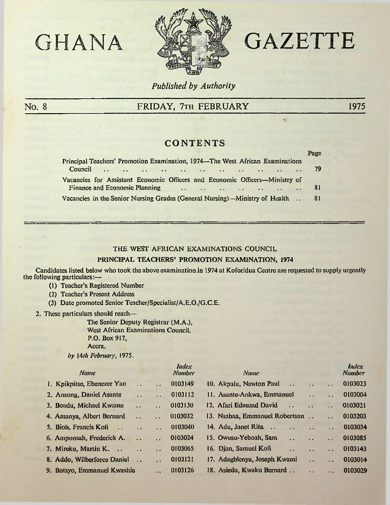

# GHANA **MEX** GAZETTE

ü

## *Published by Authority*

 $=$   $-$ 

## No. 8 **FRIDAY, 7th FEBRUARY** 1975

## **CONTENTS**

| Principal Teachers' Promotion Examination, 1974—The West African Examinations                                                                                                                                                                                                                                | Page |
|--------------------------------------------------------------------------------------------------------------------------------------------------------------------------------------------------------------------------------------------------------------------------------------------------------------|------|
| Council                                                                                                                                                                                                                                                                                                      | -79  |
| Vacancies for Assistant Economic Officers and Economic Officers—Ministry of<br>Finance and Economic Planning (1) and (1) and (1) and (1) and (1) and (1) and (1) and (1) and (1) and (1) and (1) and (1) and (1) and (1) and (1) and (1) and (1) and (1) and (1) and (1) and (1) and (1) and (1) and (1) and | - 81 |
| Vacancies in the Senior Nursing Grades (General Nursing)—Ministry of Health                                                                                                                                                                                                                                  | -81  |

#### THE WEST AFRICAN EXAMINATIONS COUNCIL

### PRINCIPAL TEACHERS' PROMOTION EXAMINATION, 1974

Candidates listed below who took the above examination in 1974 at Koforidua Centre arc requested to supply urgently the following particulars:—

- (1) Teacher's Registered Number
- (2) Teacher's Present Address
- (3) Date promoted Senior Tcachcr/Specialist/A.E.O./G.C.E.
- 2. These particulars should reach—

The Senior Deputy Registrar (M.A.), West African Examinations Council, P.O. Box 917, Accra.

*by* 14*th February*, 1975.

| <b>Name</b>                                   |                      |                      | <b>Index</b><br><b>Number</b> | <b>Name</b>                                      |                       |                      | <b>Index</b><br><b>Number</b> |
|-----------------------------------------------|----------------------|----------------------|-------------------------------|--------------------------------------------------|-----------------------|----------------------|-------------------------------|
| 1. Kpikpitse, Ebenezer Yao                    | $\ddot{\phantom{a}}$ | $\ddotsc$            | 0103149                       | 10. Akpalu, Newton Paul<br>$\dddot{\phantom{0}}$ | $\dddot{\phantom{0}}$ | $\ddot{\phantom{a}}$ | 0103023                       |
| 2. Ansong, Daniel Asante                      | $\sim$               | $\ddot{\phantom{a}}$ | 0103112                       | 11. Asante-Ankwa, Emmanuel                       | $\ddot{\phantom{a}}$  | . .                  | 0103004                       |
| 3. Boadu, Michael Kwamo                       | $\ddot{\phantom{a}}$ | $\ddot{\phantom{a}}$ | 0103130                       | 12. Afari Edmund David<br>$\ddotsc$              | $\ddot{\phantom{a}}$  | $\ddot{\phantom{a}}$ | 0103021                       |
| 4. Amanya, Albert Bernard                     | $\ddot{\phantom{a}}$ | $\ddot{\phantom{a}}$ | 0103032                       | 13. Nsabaa, Emmanuel Robertson                   |                       | 47                   | 0103203                       |
| 5. Bioh, Francis Kofi<br>$\ddot{\phantom{a}}$ | $\ddot{\phantom{a}}$ | $\ddot{\phantom{a}}$ | 0103040                       | 14. $Adu$ , Janct Rita<br>$\ddot{\phantom{a}}$   | $\ddot{\phantom{a}}$  | $\ddot{\phantom{a}}$ | 0103034                       |
| 6. Amponsah, Frederick A.                     | $\ddot{\phantom{a}}$ | $\ddot{\phantom{a}}$ | 0103024                       | 15. Owusu-Yeboah, Sam<br>. .                     | $\cdot$ $\cdot$       | . .                  | 0103085                       |
| 7. Mireku, Martin K.                          | $\ddot{\phantom{a}}$ | $\ddot{\phantom{a}}$ | 0103065                       | 16. Djan, Samuel Kofi<br>$\ddot{\phantom{a}}$    | $\ddot{\phantom{a}}$  | . .                  | 0103143                       |
| 8. Addo, Wilberforce Daniel                   |                      | $\ddot{\phantom{a}}$ | 0103121                       | 17. Adagblenya, Joseph Kwami                     | $\sim$                | $\ddot{\phantom{a}}$ | 0103014                       |
| 9. Botsyo, Emmanuel Kwashio                   |                      | $\ddot{\phantom{a}}$ | 0103126                       | 18. Asiedu, Kwaku Bernard                        | $\mathbf{r}$          | . .                  | 0103029                       |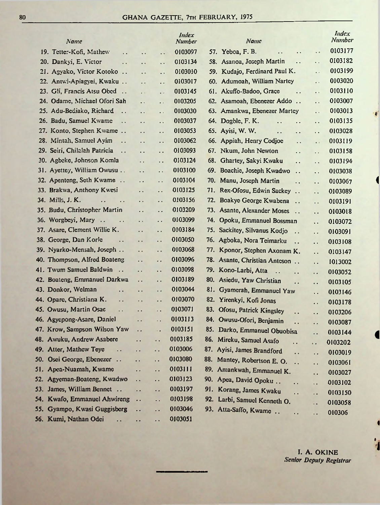| Name                            |                                                |                        | Index<br>Number |     | Name                                         |                        |                      | <i>Index</i><br><b>Number</b> |
|---------------------------------|------------------------------------------------|------------------------|-----------------|-----|----------------------------------------------|------------------------|----------------------|-------------------------------|
| 19. Tetter-Kofi, Mathew         | $\ddot{\phantom{0}}$<br>$\ddot{\phantom{1}}$   | . .                    | 0103097         |     | 57. Yeboa, F. B.<br>$\ddot{\phantom{a}}$     | $\ddot{\phantom{1}}$ . | $\cdot$ $\cdot$      | 0103177                       |
| 20. Dankyi, E. Victor           | $\ddot{\phantom{0}}$<br>. .                    | $\ddot{\phantom{1}}$   | 0103134         |     | 58. Asanoa, Joseph Martin                    | $\ddotsc$              | $\ddot{\phantom{a}}$ | 0103182                       |
| 21. Agyako, Victor Kotoko       | $\ddot{\phantom{1}}$                           | . .                    | 0103010         |     | 59. Kudajo, Ferdinard Paul K.                |                        | $\bullet$            | 0103199                       |
| 22. Antwi-Apiagyei, Kwaku       | $\ddot{\phantom{1}}$                           | $\ddot{\phantom{1}}$   | 0103017         |     | 60. Adumoah, William Nartey                  |                        | $\bullet$            | 0103020                       |
| 23. Gli, Francis Atsu Obed      | $\bullet$                                      | $\bullet$              | 0103145         |     | 61. Akuffo-Badoo, Grace                      | $\ddot{\phantom{0}}$   | $\epsilon$           | 0103110                       |
| 24. Odame, Michael Ofori Sah    | $\epsilon$ .                                   | $\bullet$              | 0103205         |     | 62. Asamoah, Ebenezer Addo                   |                        | μ.                   | 0103007                       |
| 25. Adu-Bediako, Richard        | .,<br>$\ddot{\phantom{1}}$                     | $\ddot{\phantom{a}}$   | 0103030         |     | 63. Amankwa, Ebenezer Martey                 |                        | ò,                   | 0103013                       |
| 26. Badu, Samuel Kwame          | $\ddot{\phantom{0}}$                           | $\ddot{\phantom{0}}$   | 0103037         |     | 64. Dogble, F. K.<br>Ϋ.                      | $\ddot{\phantom{0}}$   | . .                  | 0103135                       |
| 27. Konto, Stephen Kwame        | Ω,                                             | . .                    | 0103053         |     | 65. Ayisi, W. W.<br>. .                      | . .                    | $\ddot{\phantom{0}}$ | 0103028                       |
| 28. Mintah, Samuel Ayim         | $\ddot{\phantom{0}}$<br>$\ddot{\phantom{0}}$   | . .                    | 0103062         |     | 66. Appiah, Henry Codjoe                     | $\ddotsc$              | $\bullet$ at         | 0103119                       |
| 29. Seiri, Chilalah Patricia    | . .                                            | . .                    | 0103093         |     | 67. Nkum, John Newton                        | $\ddot{\phantom{a}}$   | Ω.                   | 0103158                       |
| 30. Agbeke, Johnson Komla       | $\ddot{\phantom{0}}$                           | $\ddot{\phantom{0}}$   | 0103124         |     | 68. Ghartey, Sakyi Kwaku                     | . .                    | $\ddot{\phantom{1}}$ | 0103194                       |
| 31. Ayettey, William Owusu      | $\ddot{\phantom{0}}$                           | Ω.                     | 0103100         |     | 69. Boachie, Joseph Kwadwo                   | $\ddot{\phantom{a}}$   | $\ddot{\phantom{a}}$ | 0103038                       |
| 32. Apenteng, Seth Kwame        | $\ddot{\phantom{0}}$                           | Ω,                     | 0103104         |     | 70. Manu, Joseph Martin                      | $\ddot{\phantom{0}}$   | Ω.                   | 0103067                       |
| 33. Brakwa, Anthony Kwesi       | . .                                            | . .                    | 0103125         |     | 71. Rex-Ofosu, Edwin Sackey                  |                        | . .                  | 0103089                       |
| 34. Mills, J. K.                | $\ddot{\phantom{1}}$ .<br>$\ddot{\phantom{0}}$ | . .                    | 0103156         |     | 72. Boakye George Kwabena                    | $\ddotsc$              | Ω,                   | 0103191                       |
| 35. Budu, Christopher Martin    | $\ddot{\phantom{a}}$                           | . .                    | 0103209         |     | 73. Asante, Alexander Moses                  | $\dddot{\phantom{0}}$  | . .                  | 0103018                       |
| 36. Worgbeyi, Mary              | $\epsilon$ .<br>$\epsilon$ .                   | . .                    | 0103099         |     | 74. Opoku, Emmanuel Bossman                  |                        | $\ddot{\phantom{0}}$ | 0103072                       |
| 37. Asare, Clement Willie K.    | г.                                             | . .                    | 0103184         |     | 75. Sackitey, Silvanus Kodjo                 |                        | .,                   | 0103091                       |
| George, Dan Korle<br>38.        | $\ddot{\phantom{a}}$<br>$\epsilon$ .           | .,                     | 0103050         |     | 76. Agboka, Nora Teimarku                    | $\ddot{\phantom{0}}$   | $\ddot{\phantom{0}}$ | 0103108                       |
| 39. Nyarko-Mensah, Joseph       | Ω.                                             | г.                     | 0103068         |     | 77. Kponor, Stephen Axonam K.                |                        | μ.                   | 0103147                       |
| 40. Thompson, Alfred Boateng    | $\ddot{\phantom{0}}$                           | $\ddot{\phantom{0}}$   | 0103096         |     | 78. Asante, Christian Anteson                |                        | τ.                   | 1013002                       |
| 41. Twum Samuel Baldwin         | $\ddot{\phantom{0}}$                           | έ.                     | 0103098         |     | 79. Kono-Larbi, Atta<br>$\ddot{\phantom{a}}$ | ٠.                     | $\ddot{\phantom{0}}$ | 0103052                       |
| 42. Boateng, Emmanuel Darkwa    | . .                                            | . .                    | 0103189         |     | 80. Asiedu, Yaw Christian                    | $\ddot{\phantom{a}}$   | $\ddot{\phantom{0}}$ | 0103105                       |
| 43. Donkor, Welman              | . .<br>. .                                     | $\ddot{\phantom{0}}$   | 0103044         |     | 81. Gyamerah, Emmanuel Yaw                   |                        | τ.                   | 0103146                       |
| 44. Opare, Christiana K.        | $\sim$<br>$\ddotsc$                            | . .                    | 0103070         |     | 82. Yirenkyi, Kofi Jonas                     |                        | $\ddot{\phantom{a}}$ | 0103178                       |
| 45. Owusu, Martin Osae          | $\ddot{\phantom{0}}$<br>$\ddot{\phantom{0}}$   | н.                     | 0103071         | 83. | Ofosu, Patrick Kingsley                      | $\ddot{\phantom{0}}$   | ٠.                   | 0103206                       |
| 46. Agycpong-Asare, Daniel      | $\epsilon$ .                                   | $\ddot{\phantom{1}}$ . | 0103113         |     | 84. Owusu-Ofori, Benjamin                    | ٠.                     | $\ddot{\phantom{0}}$ | 0103087                       |
| 47. Krow, Sampson Wilson Yaw    | . .                                            | ٠.                     | 0103151         |     | 85. Darko, Emmanuel Obuobisa                 |                        | $\ddot{\phantom{1}}$ | 0103144                       |
| 48. Awuku, Andrew Asabere       | $\ddot{\phantom{0}}$                           | ٠.                     | 0103185         |     | 86. Mircku, Samuel Asafo                     | . .                    | . .                  | 0103202                       |
| 49.<br>Atter, Mathew Teye       | ٠.<br>. .                                      | $\ddot{\phantom{1}}$   | 0103006         |     | 87. Ayisi, James Brandford                   | $\ddot{\phantom{0}}$   | $\ddot{\phantom{0}}$ | 0103019                       |
| Osei George, Ebenezer<br>50.    | $\ddotsc$<br>. .                               | . .                    | 0103080         |     | 88. Mantey, Robertson E. O.                  | Ϋ.                     | $\ddot{\phantom{0}}$ | 0103061                       |
| Apea-Nuamah, Kwame<br>51.       | . .                                            | . .                    | 0103111         |     | 89. Amankwah, Emmanuel K.                    |                        | ٠.                   | 0103027                       |
| Agyeman-Boateng, Kwadwo<br>52.  | ٠,                                             | .,                     | 0103123         | 90. | Apea, David Opoku                            | μ.                     | i.                   | 0103102                       |
| James, William Bennet<br>53.    | $\ddot{\phantom{0}}$                           | μ.                     | 0103197         |     | 91. Korang, James Kwaku                      | μ.                     | ò,                   | 0103150                       |
| Kwafo, Emmanuel Ahwireng<br>54. | Ϋ,                                             | μ,                     | 0103198         |     | 92. Larbi, Samuel Kenneth O.                 |                        | i.                   | 0103058                       |
| Gyampo, Kwasi Guggisberg<br>55. | . .                                            | . .                    | 0103046         |     | 93. Atta-Saffo, Kwame                        | Ω,                     | $\ddot{\phantom{1}}$ | 010306                        |
| 56. Kumi, Nathan Odei           | μ.<br>$\ddot{\phantom{1}}$                     | П,                     | 0103051         |     |                                              |                        |                      |                               |

*I***. A. OKINE** *Senior Deputy Registrar*

 $\cdot$ 

*i*

<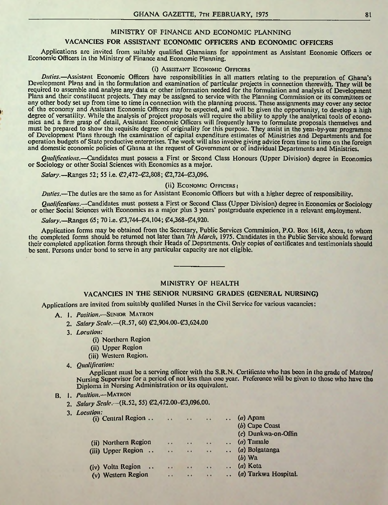#### MINISTRY OF FINANCE AND ECONOMIC PLANNING

#### VACANCIES FOR ASSISTANT ECONOMIC OFFICERS AND ECONOMIC OFFICERS

Applications arc invited from suitably qualified Ghanaians for appointment as Assistant Economic Officers or Economic Officers in the Ministry of Finance and Economic Planning.

#### (i) Assistant Economic Officers

*Duties.*—Assistant Economic Officers have responsibilities in all matters relating to the preparation of Ghana's Development Plans and in the formulation and examination of particular projects in connection therewith. They will be required to assemble and analyse any data or other information needed for the formulation and analysis of Development Plans and their constituent projects. They may be assigned to service with the Planning Commission or its committees or any other body set up from time to time in connection with the planning process. These assignments may cover any sector of the economy and Assistant Economic Officers may be expected, and will be given the opportunity, to develop a high degree of versatility. While the analysis of project proposals will require the ability to apply the analytical tools of economics and a firm grasp of detail, Assistant Economic Officers will frequently have to formulate proposals themselves and must be prepared to show the requisite degree of originality for this purpose. They assist in the yeai-by-year programme of Development Plans through the examination of capital expenditure estimates of Ministries and Departments and for operation budgets of State productive enterprises. The work will also involve giving advice from time to time on the foreign and domestic economic policies of Ghana at the request of Government or ofindividual Departments and Ministries.

*Qualifications.*—Candidates must possess a First or Second Class Honours (Upper Division) degree in Economics or Sociology or other Social Sciences with Economics as a major.

*Salary.*—Ranges 52; 55 i.e.  $\mathcal{Q}2.472-\mathcal{C}2.808$ ;  $\mathcal{Q}2.724-\mathcal{C}3.096$ .

#### (ii) Economic Officers (

*Duties.*—The duties are the same as for Assistant Economic Officers but with a higher degree of responsibility.

*Qualifications.*—Candidates must possess a First or Second Class (Upper Division) degree in Economics or Sociology or other Social Sciences with Economics as a major plus 3 years' postgraduate experience in a relevant employment.

#### *Salary.*—Ranges 65: 70 i.e.  $\mathcal{C}3.744 - \mathcal{C}4.104$ ;  $\mathcal{C}4.368 - \mathcal{C}4.920$ .

Application forms may be obtained from the Secretary, Public Services Commission, P.O. Box 1618, Accra, to whom the completed forms should be returned not later than *1th March*, 1975. Candidates in the Public Service should forward their completed application forms through their Heads of Departments. Only copies of certificates and testimonials should be sent. Persons under bond to serve in any particular capacity are not eligible.

#### MINISTRY OF HEALTH

#### VACANCIES IN THE SENIOR NURSING GRADES (GENERAL NURSING)

Applications arc invited from suitably qualified Nurses in the Civil Service for various vacancies:

- A. 1. *Position.*—Senior Matron
	- 2. *Salary Scale.* (R.57, 60)  $C2,904.00 C3,624.00$
	- 3. *Location:*

*y.*

- (i) Northern Region
- (ii) Upper Region
- (iii) Western Region.
- 4. *Qualification:*

Applicant must be a serving officer with the S.R.N. Certificate who has been in the grade of Matron/ Nursing Supervisor for a period of not less than one year. Preference will be given to those who have the Diploma in Nursing Administration or its equivalent.

#### B. 1. *Position.*—Matron

- 2. *Salary Scale.* (R.52, 55)  $\mathcal{O}(2, 472.00 \mathcal{O}(3, 0.06.00))$ .
- 3. *Location:*

| $\ddot{\phantom{a}}$ | $\begin{array}{c c} \hline \multicolumn{3}{c}{} & \multicolumn{3}{c}{} & \multicolumn{3}{c}{} & \multicolumn{3}{c}{} & \multicolumn{3}{c}{} & \multicolumn{3}{c}{} & \multicolumn{3}{c}{} & \multicolumn{3}{c}{} & \multicolumn{3}{c}{} & \multicolumn{3}{c}{} & \multicolumn{3}{c}{} & \multicolumn{3}{c}{} & \multicolumn{3}{c}{} & \multicolumn{3}{c}{} & \multicolumn{3}{c}{} & \multicolumn{3}{c}{} & \multicolumn{3}{c}{} & \multicolumn{3}{c}{} & \multicolumn{3}{c}{}$ | $\cdots$             | $(a)$ Apam           |
|----------------------|--------------------------------------------------------------------------------------------------------------------------------------------------------------------------------------------------------------------------------------------------------------------------------------------------------------------------------------------------------------------------------------------------------------------------------------------------------------------------------|----------------------|----------------------|
|                      |                                                                                                                                                                                                                                                                                                                                                                                                                                                                                |                      | $(b)$ Cape Coast     |
|                      |                                                                                                                                                                                                                                                                                                                                                                                                                                                                                |                      | (c) Dunkwa-on-Offin  |
| $\ddot{\phantom{1}}$ | $\cdot$ .                                                                                                                                                                                                                                                                                                                                                                                                                                                                      | $\ddot{\phantom{a}}$ | $(a)$ Tamale         |
| $\bullet$            | . .                                                                                                                                                                                                                                                                                                                                                                                                                                                                            | $\ddot{\phantom{a}}$ | (a) Bolgatanga       |
|                      |                                                                                                                                                                                                                                                                                                                                                                                                                                                                                |                      | $(b)$ Wa             |
| $\bullet \bullet$    | $\bullet \bullet$                                                                                                                                                                                                                                                                                                                                                                                                                                                              | $\cdots$             | $\ldots$ (a) Keta    |
| $\cdot$ $\cdot$      | $\bullet$                                                                                                                                                                                                                                                                                                                                                                                                                                                                      | $\ddot{\phantom{1}}$ | (a) Tarkwa Hospital. |
|                      |                                                                                                                                                                                                                                                                                                                                                                                                                                                                                |                      |                      |